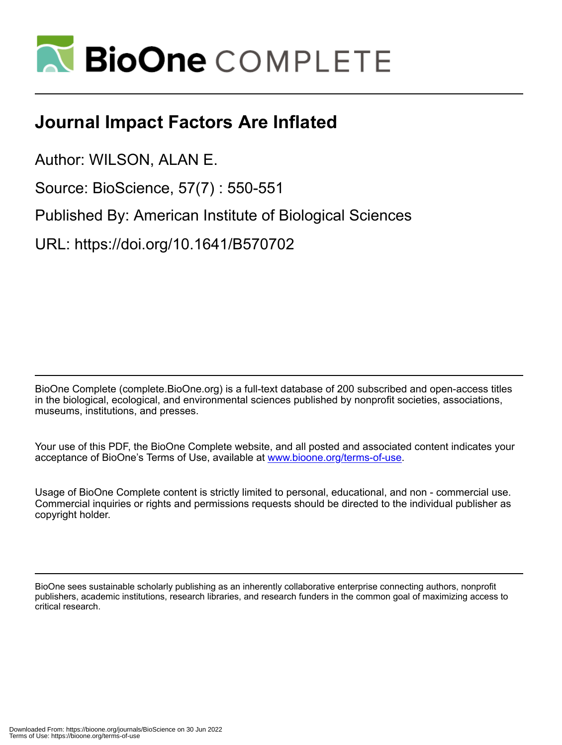

## **Journal Impact Factors Are Inflated**

Author: WILSON, ALAN E.

Source: BioScience, 57(7) : 550-551

Published By: American Institute of Biological Sciences

URL: https://doi.org/10.1641/B570702

BioOne Complete (complete.BioOne.org) is a full-text database of 200 subscribed and open-access titles in the biological, ecological, and environmental sciences published by nonprofit societies, associations, museums, institutions, and presses.

Your use of this PDF, the BioOne Complete website, and all posted and associated content indicates your acceptance of BioOne's Terms of Use, available at www.bioone.org/terms-of-use.

Usage of BioOne Complete content is strictly limited to personal, educational, and non - commercial use. Commercial inquiries or rights and permissions requests should be directed to the individual publisher as copyright holder.

BioOne sees sustainable scholarly publishing as an inherently collaborative enterprise connecting authors, nonprofit publishers, academic institutions, research libraries, and research funders in the common goal of maximizing access to critical research.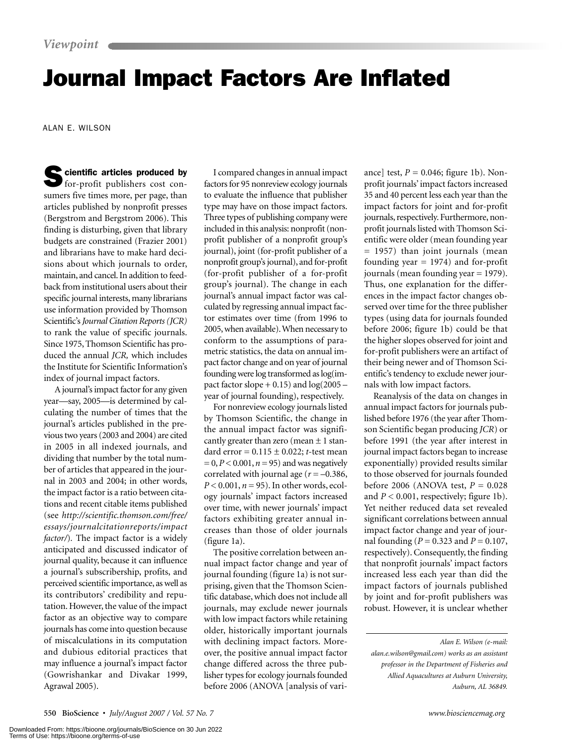## Journal Impact Factors Are Inflated

ALAN E. WILSON

Scientific articles produced by for-profit publishers cost consumers five times more, per page, than articles published by nonprofit presses (Bergstrom and Bergstrom 2006). This finding is disturbing, given that library budgets are constrained (Frazier 2001) and librarians have to make hard decisions about which journals to order, maintain, and cancel. In addition to feedback from institutional users about their specific journal interests, many librarians use information provided by Thomson Scientific's *Journal Citation Reports (JCR)* to rank the value of specific journals. Since 1975, Thomson Scientific has produced the annual *JCR,* which includes the Institute for Scientific Information's index of journal impact factors.

A journal's impact factor for any given year—say, 2005—is determined by calculating the number of times that the journal's articles published in the previous two years (2003 and 2004) are cited in 2005 in all indexed journals, and dividing that number by the total number of articles that appeared in the journal in 2003 and 2004; in other words, the impact factor is a ratio between citations and recent citable items published (see *http://scientific.thomson.com/free/ essays/journalcitationreports/impact factor/*)*.* The impact factor is a widely anticipated and discussed indicator of journal quality, because it can influence a journal's subscribership, profits, and perceived scientific importance, as well as its contributors' credibility and reputation. However, the value of the impact factor as an objective way to compare journals has come into question because of miscalculations in its computation and dubious editorial practices that may influence a journal's impact factor (Gowrishankar and Divakar 1999, Agrawal 2005).

I compared changes in annual impact factors for 95 nonreview ecology journals to evaluate the influence that publisher type may have on those impact factors. Three types of publishing company were included in this analysis: nonprofit (nonprofit publisher of a nonprofit group's journal), joint (for-profit publisher of a nonprofit group's journal), and for-profit (for-profit publisher of a for-profit group's journal). The change in each journal's annual impact factor was calculated by regressing annual impact factor estimates over time (from 1996 to 2005, when available).When necessary to conform to the assumptions of parametric statistics, the data on annual impact factor change and on year of journal founding were log transformed as log(impact factor slope  $+ 0.15$ ) and  $log(2005$ year of journal founding), respectively.

For nonreview ecology journals listed by Thomson Scientific, the change in the annual impact factor was significantly greater than zero (mean  $\pm$  1 standard error = 0.115 ± 0.022; *t*-test mean = 0,*P* < 0.001, *n* = 95) and was negatively correlated with journal age  $(r = -0.386,$ *P* < 0.001, *n* = 95). In other words, ecology journals' impact factors increased over time, with newer journals' impact factors exhibiting greater annual increases than those of older journals (figure 1a).

The positive correlation between annual impact factor change and year of journal founding (figure 1a) is not surprising, given that the Thomson Scientific database, which does not include all journals, may exclude newer journals with low impact factors while retaining older, historically important journals with declining impact factors. Moreover, the positive annual impact factor change differed across the three publisher types for ecology journals founded before 2006 (ANOVA [analysis of variance] test,  $P = 0.046$ ; figure 1b). Nonprofit journals' impact factors increased 35 and 40 percent less each year than the impact factors for joint and for-profit journals, respectively. Furthermore, nonprofit journals listed with Thomson Scientific were older (mean founding year = 1957) than joint journals (mean founding year  $= 1974$ ) and for-profit journals (mean founding year = 1979). Thus, one explanation for the differences in the impact factor changes observed over time for the three publisher types (using data for journals founded before 2006; figure 1b) could be that the higher slopes observed for joint and for-profit publishers were an artifact of their being newer and of Thomson Scientific's tendency to exclude newer journals with low impact factors.

Reanalysis of the data on changes in annual impact factors for journals published before 1976 (the year after Thomson Scientific began producing *JCR*) or before 1991 (the year after interest in journal impact factors began to increase exponentially) provided results similar to those observed for journals founded before 2006 (ANOVA test, *P* = 0.028 and  $P < 0.001$ , respectively; figure 1b). Yet neither reduced data set revealed significant correlations between annual impact factor change and year of journal founding (*P* = 0.323 and *P* = 0.107, respectively). Consequently, the finding that nonprofit journals' impact factors increased less each year than did the impact factors of journals published by joint and for-profit publishers was robust. However, it is unclear whether

*Alan E. Wilson (e-mail:*

*alan.e.wilson@gmail.com) works as an assistant professor in the Department of Fisheries and Allied Aquacultures at Auburn University, Auburn, AL 36849.*